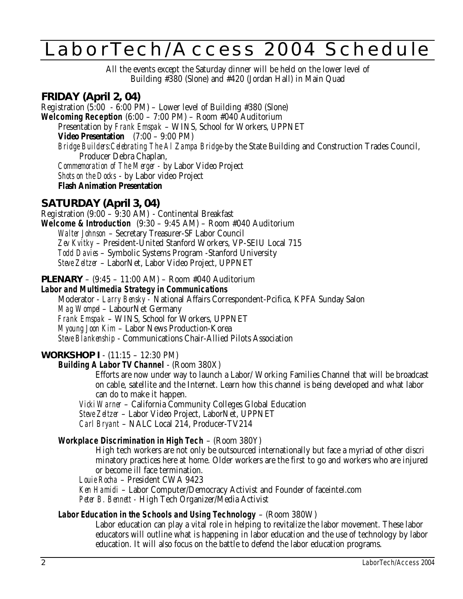# LaborTech/Access 2004 Schedule

All the events except the Saturday dinner will be held on the lower level of Building #380 (Slone) and #420 (Jordan Hall) in Main Quad

# **FRIDAY (April 2, 04)**

Registration (5:00 - 6:00 PM) – Lower level of Building #380 (Slone) **Welcoming Reception** (6:00 – 7:00 PM) – Room #040 Auditorium Presentation by *Frank Emspak* – WINS, School for Workers, UPPNET **Video Presentation** (7:00 – 9:00 PM) *Bridge Builders:Celebrating The Al Zampa Bridge*-by the State Building and Construction Trades Council, Producer Debra Chaplan, *Commemoration of The Merger -* by Labor Video Project *Shots on the Docks* - by Labor video Project **Flash Animation Presentation**

# **SATURDAY (April 3, 04)**

Registration (9:00 – 9:30 AM) - Continental Breakfast **Welcome & Introduction** (9:30 – 9:45 AM) – Room #040 Auditorium *Walter Johnson* – Secretary Treasurer-SF Labor Council *Zev Kvitky* – President-United Stanford Workers, VP-SEIU Local 715 *Todd Davies* – Symbolic Systems Program -Stanford University *Steve Zeltzer* – LaborNet, Labor Video Project, UPPNET

**PLENARY** – (9:45 – 11:00 AM) – Room #040 Auditorium

# **Labor and Multimedia Strategy in Communications**

Moderator - *Larry Bensky -* National Affairs Correspondent-Pcifica, KPFA Sunday Salon *Mag Wompel* – LabourNet Germany *Frank Emspak* – WINS, School for Workers, UPPNET *Myoung Joon Kim* – Labor News Production-Korea *Steve Blankenship* - Communications Chair-Allied Pilots Association

# **WORKSHOP I** - (11:15 – 12:30 PM)

## **Building A Labor TV Channel** - (Room 380X)

Efforts are now under way to launch a Labor/ Working Families Channel that will be broadcast on cable, satellite and the Internet. Learn how this channel is being developed and what labor can do to make it happen.

*Vicki Warner* – California Community Colleges Global Education

*Steve Zeltzer* – Labor Video Project, LaborNet, UPPNET

*Carl Bryant* – NALC Local 214, Producer-TV214

## **Workplace Discrimination in High Tech** – (Room 380Y)

High tech workers are not only be outsourced internationally but face a myriad of other discri minatory practices here at home. Older workers are the first to go and workers who are injured or become ill face termination.

*Louie Rocha* – President CWA 9423

*Ken Hamidi* – Labor Computer/Democracy Activist and Founder of faceintel.com *Peter B. Bennett -* High Tech Organizer/Media Activist

# **Labor Education in the Schools and Using Technology** – (Room 380W)

Labor education can play a vital role in helping to revitalize the labor movement. These labor educators will outline what is happening in labor education and the use of technology by labor education. It will also focus on the battle to defend the labor education programs.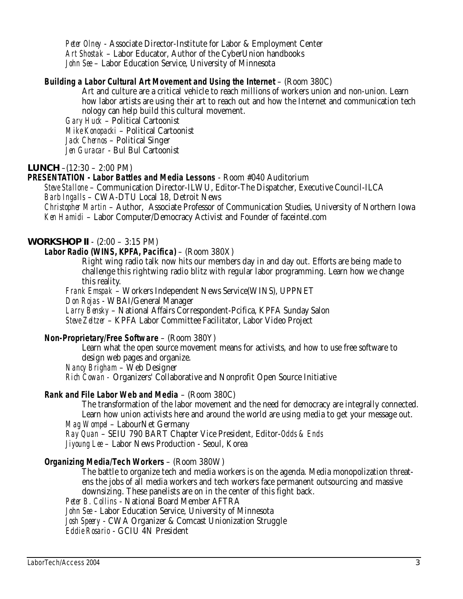*Peter Olney* - Associate Director-Institute for Labor & Employment Center *Art Shostak* – Labor Educator, Author of the CyberUnion handbooks *John See* – Labor Education Service, University of Minnesota

## **Building a Labor Cultural Art Movement and Using the Internet** – (Room 380C)

Art and culture are a critical vehicle to reach millions of workers union and non-union. Learn how labor artists are using their art to reach out and how the Internet and communication tech nology can help build this cultural movement.

*Gary Huck* – Political Cartoonist *Mike Konopacki* – Political Cartoonist *Jack Chernos* – Political Singer *Jen Guracar* - Bul Bul Cartoonist

## **LUNCH** –(12:30 – 2:00 PM)

## **PRESENTATION - Labor Battles and Media Lessons** - Room #040 Auditorium

*Steve Stallone* – Communication Director-ILWU, Editor-The Dispatcher, Executive Council-ILCA *Barb Ingalls* – CWA-DTU Local 18, Detroit News

*Christopher Martin* – Author, Associate Professor of Communication Studies, University of Northern Iowa *Ken Hamidi* – Labor Computer/Democracy Activist and Founder of faceintel.com

# **WORKSHOP II** - (2:00 – 3:15 PM)

# **Labor Radio (WINS, KPFA, Pacifica)** – (Room 380X)

Right wing radio talk now hits our members day in and day out. Efforts are being made to challenge this rightwing radio blitz with regular labor programming. Learn how we change this reality.

*Frank Emspak* – Workers Independent News Service(WINS), UPPNET *Don Rojas* - WBAI/General Manager *Larry Bensky* – National Affairs Correspondent-Pcifica, KPFA Sunday Salon *Steve Zeltzer* – KPFA Labor Committee Facilitator, Labor Video Project

## **Non-Proprietary/Free Software** – (Room 380Y)

Learn what the open source movement means for activists, and how to use free software to design web pages and organize. *Nancy Brigham* – Web Designer

*Rich Cowan -* Organizers' Collaborative and Nonprofit Open Source Initiative

# **Rank and File Labor Web and Media** – (Room 380C)

The transformation of the labor movement and the need for democracy are integrally connected. Learn how union activists here and around the world are using media to get your message out. *Mag Wompel* – LabourNet Germany

*Ray Quan* – SEIU 790 BART Chapter Vice President, Editor-*Odds & Ends Jiyoung Lee* – Labor News Production - Seoul, Korea

## **Organizing Media/Tech Workers** – (Room 380W)

The battle to organize tech and media workers is on the agenda. Media monopolization threatens the jobs of all media workers and tech workers face permanent outsourcing and massive downsizing. These panelists are on in the center of this fight back.

*Peter B. Collins* - National Board Member AFTRA

*John See* - Labor Education Service, University of Minnesota

*Josh Speery* - CWA Organizer & Comcast Unionization Struggle

*Eddie Rosario* - GCIU 4N President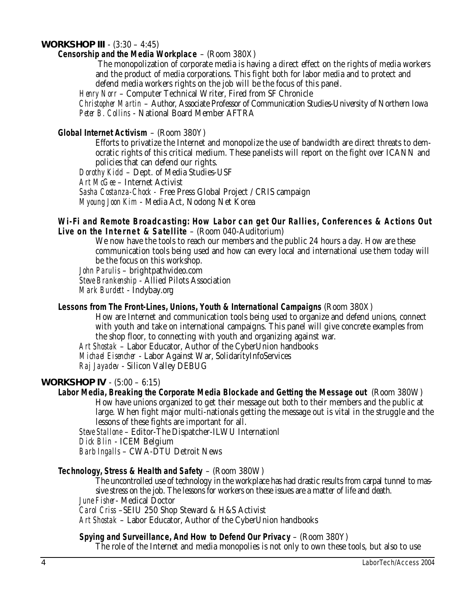## **WORKSHOP III** - (3:30 – 4:45)

## **Censorship and the Media Workplace** – (Room 380X)

The monopolization of corporate media is having a direct effect on the rights of media workers and the product of media corporations. This fight both for labor media and to protect and defend media workers rights on the job will be the focus of this panel.

*Henry Norr* – Computer Technical Writer, Fired from SF Chronicle

*Christopher Martin* – Author, Associate Professor of Communication Studies-University of Northern Iowa *Peter B. Collins* - National Board Member AFTRA

## **Global Internet Activism** – (Room 380Y)

Efforts to privatize the Internet and monopolize the use of bandwidth are direct threats to democratic rights of this critical medium. These panelists will report on the fight over ICANN and policies that can defend our rights.

*Dorothy Kidd* – Dept. of Media Studies-USF

*Art McGee* – Internet Activist

*Sasha Costanza-Chock -* Free Press Global Project / CRIS campaign

*Myoung Joon Kim* - Media Act, Nodong Net Korea

### **Wi-Fi and Remote Broadcasting: How Labor can get Our Rallies, Conferences & Actions Out** Live on the Internet & Satellite - (Room 040-Auditorium)

We now have the tools to reach our members and the public 24 hours a day. How are these communication tools being used and how can every local and international use them today will be the focus on this workshop.

*John Parulis* – brightpathvideo.com *Steve Brankenship* - Allied Pilots Association *Mark Burdett* - Indybay.org

#### **Lessons from The Front-Lines, Unions, Youth & International Campaigns** (Room 380X)

How are Internet and communication tools being used to organize and defend unions, connect with youth and take on international campaigns. This panel will give concrete examples from the shop floor, to connecting with youth and organizing against war.

*Art Shostak* – Labor Educator, Author of the CyberUnion handbooks

*Michael Eisencher* - Labor Against War, SolidarityInfoServices

*Raj Jayadev* - Silicon Valley DEBUG

## **WORKSHOP IV** - (5:00 – 6:15)

**Labor Media, Breaking the Corporate Media Blockade and Getting the Message out** (Room 380W)

How have unions organized to get their message out both to their members and the public at large. When fight major multi-nationals getting the message out is vital in the struggle and the lessons of these fights are important for all.

*Steve Stallone* – Editor-The Dispatcher-ILWU Internationl

*Dick Blin* - ICEM Belgium

*Barb Ingalls* – CWA-DTU Detroit News

## **Technology, Stress & Health and Safety** – (Room 380W)

The uncontrolled use of technology in the workplace has had drastic results from carpal tunnel to massive stress on the job. The lessons for workers on these issues are a matter of life and death.

*June Fisher*- Medical Doctor

*Carol Criss* –SEIU 250 Shop Steward & H&S Activist

*Art Shostak* – Labor Educator, Author of the CyberUnion handbooks

## **Spying and Surveillance, And How to Defend Our Privacy** – (Room 380Y)

The role of the Internet and media monopolies is not only to own these tools, but also to use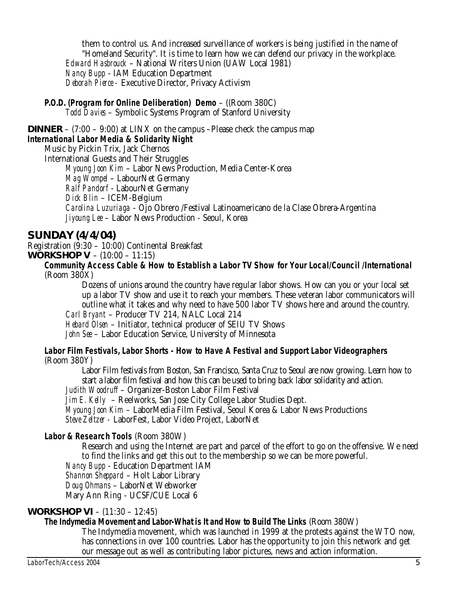them to control us. And increased surveillance of workers is being justified in the name of "Homeland Security". It is time to learn how we can defend our privacy in the workplace. *Edward Hasbrouck* – National Writers Union (UAW Local 1981) *Nancy Bupp* - IAM Education Department *Deborah Pierce -* Executive Director, Privacy Activism

**P.O.D. (Program for Online Deliberation) Demo** – ((Room 380C) *Todd Davies* – Symbolic Systems Program of Stanford University

**DINNER** –  $(7:00 - 9:00)$  at LINX on the campus –Please check the campus map

## **International Labor Media & Solidarity Night**

Music by Pickin Trix, Jack Chernos

International Guests and Their Struggles

*Myoung Joon Kim* – Labor News Production, Media Center-Korea

*Mag Wompel* – LabourNet Germany

*Ralf Pandorf* - LabourNet Germany

*Dick Blin* – ICEM-Belgium

*Carolina Luzuriaga* - Ojo Obrero /Festival Latinoamericano de la Clase Obrera-Argentina *Jiyoung Lee* – Labor News Production - Seoul, Korea

# **SUNDAY (4/4/04)**

Registration (9:30 – 10:00) Continental Breakfast **WORKSHOP V** – (10:00 – 11:15)

**Community Access Cable & How to Establish a Labor TV Show for Your Local/Council /International**  (Room 380X)

Dozens of unions around the country have regular labor shows. How can you or your local set up a labor TV show and use it to reach your members. These veteran labor communicators will outline what it takes and why need to have 500 labor TV shows here and around the country.

*Carl Bryant* – Producer TV 214, NALC Local 214

*Hebard Olsen* – Initiator, technical producer of SEIU TV Shows *John See* – Labor Education Service, University of Minnesota

**Labor Film Festivals, Labor Shorts - How to Have A Festival and Support Labor Videographers**  (Room 380Y)

Labor Film festivals from Boston, San Francisco, Santa Cruz to Seoul are now growing. Learn how to start a labor film festival and how this can be used to bring back labor solidarity and action.

*Judith Woodruff* – Organizer-Boston Labor Film Festival

*Jim E. Kelly* – Reelworks, San Jose City College Labor Studies Dept.

*Myoung Joon Kim* – LaborMedia Film Festival, Seoul Korea & Labor News Productions *Steve Zeltzer -* LaborFest, Labor Video Project, LaborNet

## **Labor & Research Tools** (Room 380W)

Research and using the Internet are part and parcel of the effort to go on the offensive. We need to find the links and get this out to the membership so we can be more powerful.

*Nancy Bupp* - Education Department IAM

*Shannon Sheppard* – Holt Labor Library

*Doug Ohmans* – LaborNet Webworker

Mary Ann Ring - UCSF/CUE Local 6

# **WORKSHOP VI** – (11:30 – 12:45)

# **The Indymedia Movement and Labor-What is It and How to Build The Links** (Room 380W)

The Indymedia movement, which was launched in 1999 at the protests against the WTO now, has connections in over 100 countries. Labor has the opportunity to join this network and get our message out as well as contributing labor pictures, news and action information.